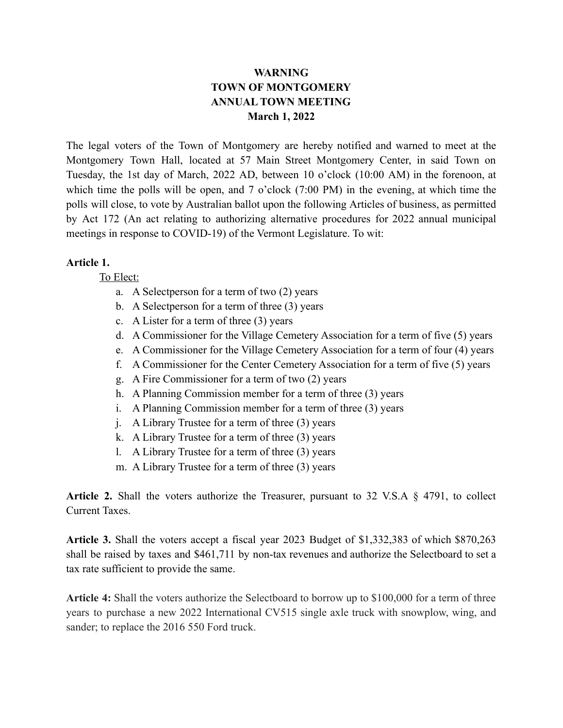## **WARNING TOWN OF MONTGOMERY ANNUAL TOWN MEETING March 1, 2022**

The legal voters of the Town of Montgomery are hereby notified and warned to meet at the Montgomery Town Hall, located at 57 Main Street Montgomery Center, in said Town on Tuesday, the 1st day of March, 2022 AD, between 10 o'clock (10:00 AM) in the forenoon, at which time the polls will be open, and 7 o'clock (7:00 PM) in the evening, at which time the polls will close, to vote by Australian ballot upon the following Articles of business, as permitted by Act 172 (An act relating to authorizing alternative procedures for 2022 annual municipal meetings in response to COVID-19) of the Vermont Legislature. To wit:

## **Article 1.**

To Elect:

- a. A Selectperson for a term of two (2) years
- b. A Selectperson for a term of three (3) years
- c. A Lister for a term of three (3) years
- d. A Commissioner for the Village Cemetery Association for a term of five (5) years
- e. A Commissioner for the Village Cemetery Association for a term of four (4) years
- f. A Commissioner for the Center Cemetery Association for a term of five (5) years
- g. A Fire Commissioner for a term of two (2) years
- h. A Planning Commission member for a term of three (3) years
- i. A Planning Commission member for a term of three (3) years
- j. A Library Trustee for a term of three (3) years
- k. A Library Trustee for a term of three (3) years
- l. A Library Trustee for a term of three (3) years
- m. A Library Trustee for a term of three (3) years

**Article 2.** Shall the voters authorize the Treasurer, pursuant to 32 V.S.A § 4791, to collect Current Taxes.

**Article 3.** Shall the voters accept a fiscal year 2023 Budget of \$1,332,383 of which \$870,263 shall be raised by taxes and \$461,711 by non-tax revenues and authorize the Selectboard to set a tax rate sufficient to provide the same.

**Article 4:** Shall the voters authorize the Selectboard to borrow up to \$100,000 for a term of three years to purchase a new 2022 International CV515 single axle truck with snowplow, wing, and sander; to replace the 2016 550 Ford truck.